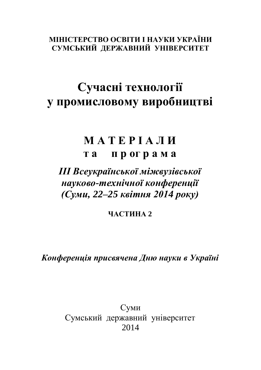**МІНІСТЕРСТВО ОСВІТИ І НАУКИ УКРАЇНИ СУМСЬКИЙ ДЕРЖАВНИЙ УНІВЕРСИТЕТ**

## **Сучасні технології у промисловому виробництві**

## **М А Т Е Р І А Л И т а п р ог р а м а**

## *ІІІ Всеукраїнської міжвузівської науково-технічної конференції (Суми, 22–25 квітня 2014 року)*

**ЧАСТИНА 2**

*Конференція присвячена Дню науки в Україні*

Суми Сумський державний університет 2014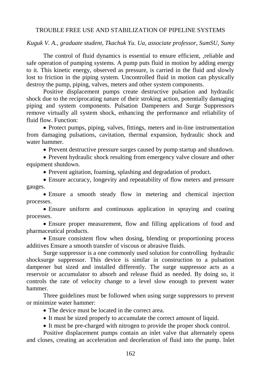## TROUBLE FREE USE AND STABILIZATION OF PIPELINE SYSTEMS

*Kuguk V. A., graduate student, Tkachuk Yu. Ua, associate professor, SumSU, Sumy*

The control of fluid dynamics is essential to ensure efficient, ,reliable and safe operation of pumping systems. A pump puts fluid in motion by adding energy to it. This kinetic energy, observed as pressure, is carried in the fluid and slowly lost to friction in the piping system. Uncontrolled fluid in motion can physically destroy the pump, piping, valves, meters and other system components.

Positive displacement pumps create destructive pulsation and hydraulic shock due to the reciprocating nature of their stroking action, potentially damaging piping and system components. Pulsation Dampeners and Surge Suppressors remove virtually all system shock, enhancing the performance and reliability of fluid flow. Function:

 Protect pumps, piping, valves, fittings, meters and in-line instrumentation from damaging pulsations, cavitation, thermal expansion, hydraulic shock and water hammer.

Prevent destructive pressure surges caused by pump startup and shutdown.

• Prevent hydraulic shock resulting from emergency valve closure and other equipment shutdown.

Prevent agitation, foaming, splashing and degradation of product.

 Ensure accuracy, longevity and repeatability of flow meters and pressure gauges.

 Ensure a smooth steady flow in metering and chemical injection processes.

 Ensure uniform and continuous application in spraying and coating processes.

 Ensure proper measurement, flow and filling applications of food and pharmaceutical products.

 Ensure consistent flow when dosing, blending or proportioning process additives Ensure a smooth transfer of viscous or abrasive fluids.

Surge suppressor is a one commonly used solution for controlling hydraulic shocksurge suppressor. This device is similar in construction to a pulsation dampener but sized and installed differently. The surge suppressor acts as a reservoir or accumulator to absorb and release fluid as needed. By doing so, it controls the rate of velocity change to a level slow enough to prevent water hammer.

Three guidelines must be followed when using surge suppressors to prevent or minimize water hammer:

• The device must be located in the correct area.

It must be sized properly to accumulate the correct amount of liquid.

It must be pre-charged with nitrogen to provide the proper shock control.

Positive displacement pumps contain an inlet valve that alternately opens and closes, creating an acceleration and deceleration of fluid into the pump. Inlet